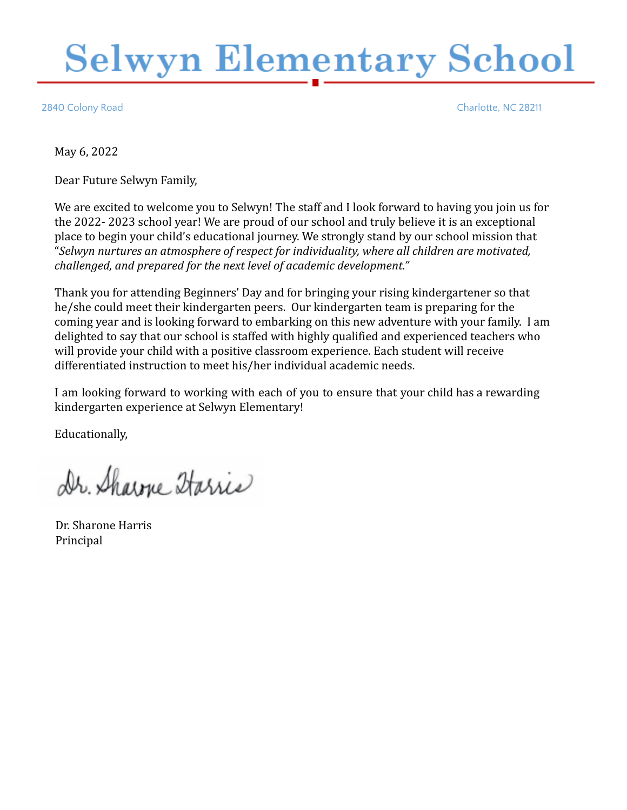# **Selwyn Elementary School**

2840 Colony Road Charlotte, NC 28211

May 6, 2022

Dear Future Selwyn Family,

We are excited to welcome you to Selwyn! The staff and I look forward to having you join us for the 2022- 2023 school year! We are proud of our school and truly believe it is an exceptional place to begin your child's educational journey. We strongly stand by our school mission that "*Selwyn nurtures an atmosphere of respect for individuality, where all children are motivated, challenged, and prepared for the next level of academic development."*

Thank you for attending Beginners' Day and for bringing your rising kindergartener so that he/she could meet their kindergarten peers. Our kindergarten team is preparing for the coming year and is looking forward to embarking on this new adventure with your family. I am delighted to say that our school is staffed with highly qualified and experienced teachers who will provide your child with a positive classroom experience. Each student will receive differentiated instruction to meet his/her individual academic needs.

I am looking forward to working with each of you to ensure that your child has a rewarding kindergarten experience at Selwyn Elementary!

Educationally,

Dr. Sharme Starris

Dr. Sharone Harris Principal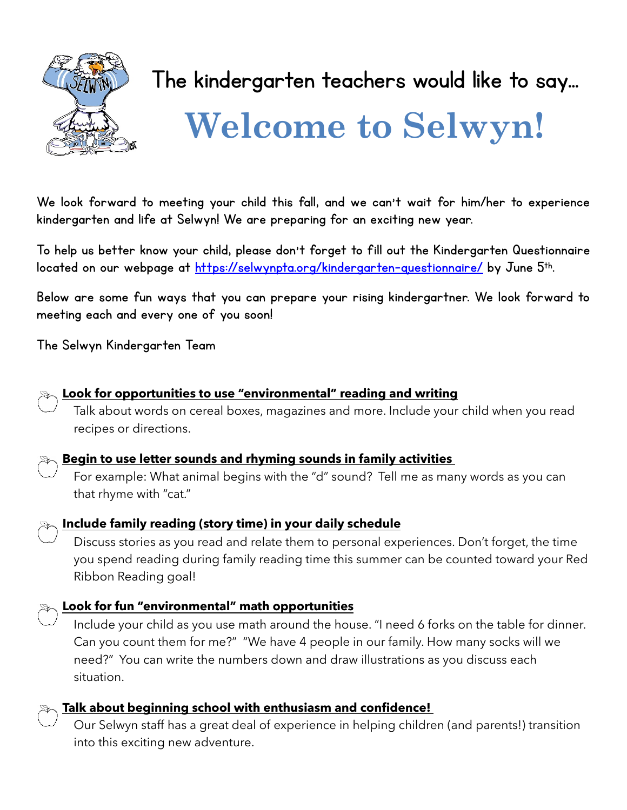

### The kindergarten teachers would like to say…

## **Welcome to Selwyn!**

We look forward to meeting your child this fall, and we can't wait for him/her to experience kindergarten and life at Selwyn! We are preparing for an exciting new year.

To help us better know your child, please don't forget to fill out the Kindergarten Questionnaire located on our webpage at <https://selwynpta.org/kindergarten-questionnaire/> by June 5<sup>th</sup>.

Below are some fun ways that you can prepare your rising kindergartner. We look forward to meeting each and every one of you soon!

The Selwyn Kindergarten Team



#### **Look for opportunities to use "environmental" reading and writing**

Talk about words on cereal boxes, magazines and more. Include your child when you read recipes or directions.



#### **Begin to use letter sounds and rhyming sounds in family activities**

For example: What animal begins with the "d" sound? Tell me as many words as you can that rhyme with "cat."



#### **Include family reading (story time) in your daily schedule**

Discuss stories as you read and relate them to personal experiences. Don't forget, the time you spend reading during family reading time this summer can be counted toward your Red Ribbon Reading goal!

#### **Look for fun "environmental" math opportunities**

Include your child as you use math around the house. "I need 6 forks on the table for dinner. Can you count them for me?" "We have 4 people in our family. How many socks will we need?" You can write the numbers down and draw illustrations as you discuss each situation.



#### **Talk about beginning school with enthusiasm and confidence!**

Our Selwyn staff has a great deal of experience in helping children (and parents!) transition into this exciting new adventure.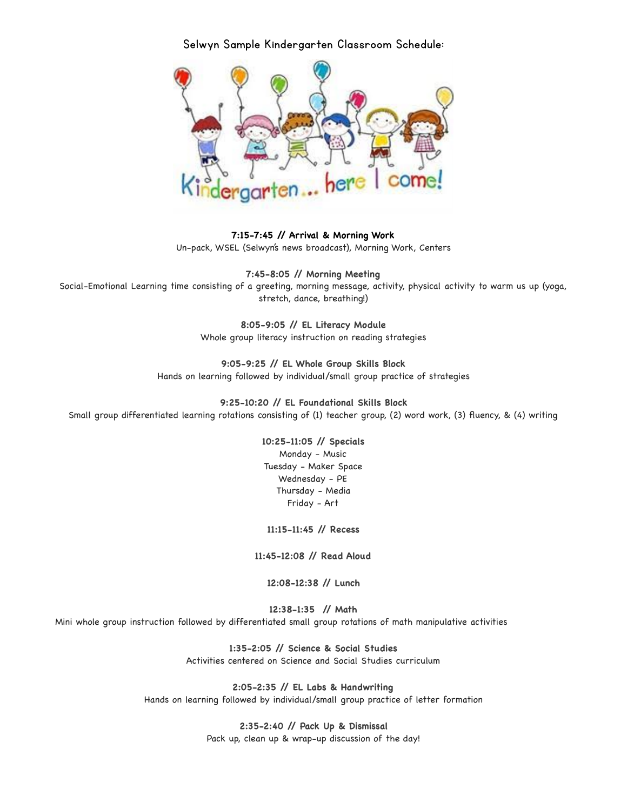Selwyn Sample Kindergarten Classroom Schedule:



**7:15-7:45 // Arrival & Morning Work** Un-pack, WSEL (Selwyn's news broadcast), Morning Work, Centers

**7:45-8:05 // Morning Meeting** Social-Emotional Learning time consisting of a greeting, morning message, activity, physical activity to warm us up (yoga, stretch, dance, breathing!)

> **8:05-9:05 // EL Literacy Module** Whole group literacy instruction on reading strategies

**9:05-9:25 // EL Whole Group Skills Block** Hands on learning followed by individual/small group practice of strategies

**9:25-10:20 // EL Foundational Skills Block** Small group differentiated learning rotations consisting of (1) teacher group, (2) word work, (3) fluency, & (4) writing

> **10:25-11:05 // Specials** Monday - Music Tuesday - Maker Space Wednesday - PE Thursday - Media Friday - Art

**11:15-11:45 // Recess**

**11:45-12:08 // Read Aloud**

**12:08-12:38 // Lunch**

**12:38-1:35 // Math**  Mini whole group instruction followed by differentiated small group rotations of math manipulative activities

> **1:35-2:05 // Science & Social Studies** Activities centered on Science and Social Studies curriculum

**2:05-2:35 // EL Labs & Handwriting** Hands on learning followed by individual/small group practice of letter formation

> **2:35-2:40 // Pack Up & Dismissal** Pack up, clean up & wrap-up discussion of the day!